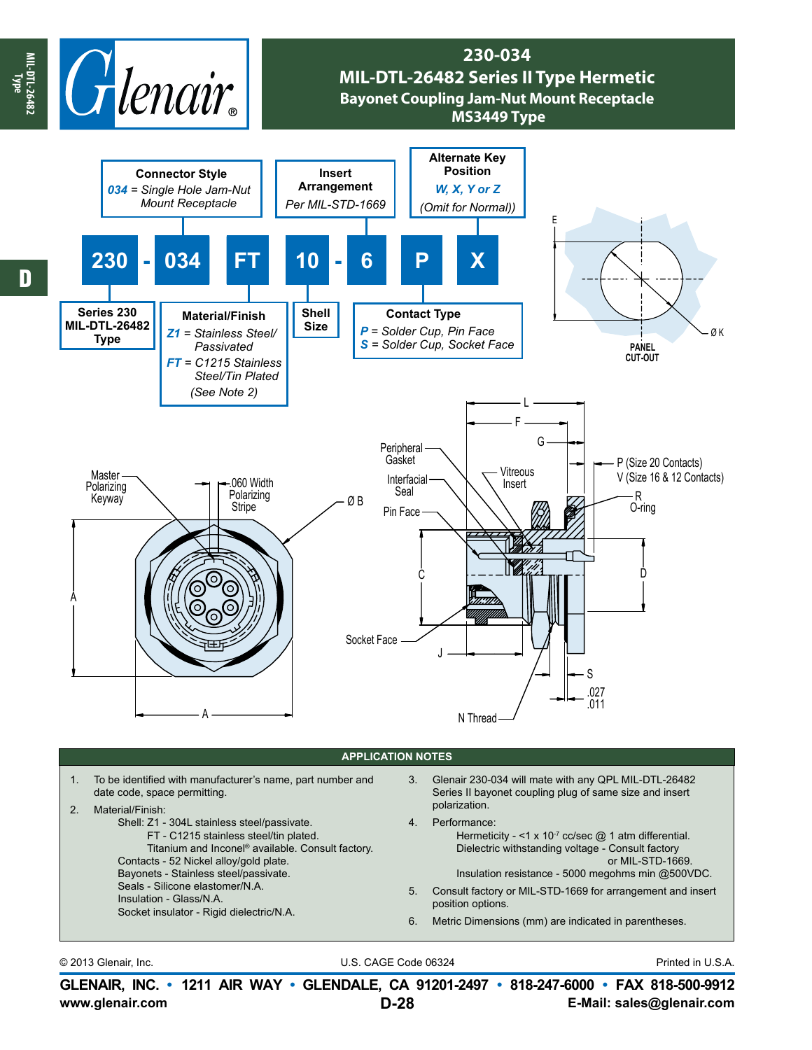

© 2013 Glenair, Inc. U.S. CAGE Code 06324 Printed in U.S.A.

**www.glenair.com E-Mail: sales@glenair.com GLENAIR, INC. • 1211 AIR WAY • GLENDALE, CA 91201-2497 • 818-247-6000 • FAX 818-500-9912 D-28**